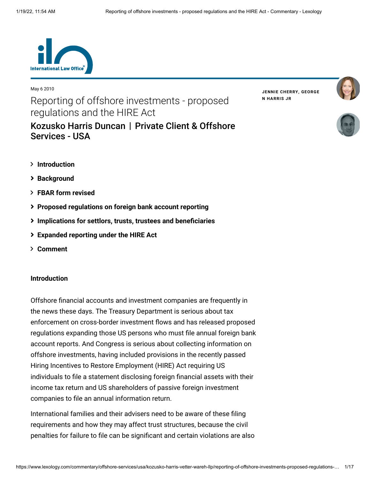

#### May 6 2010

Reporting of offshore investments - proposed regulations and the HIRE Act [Kozusko Harris Duncan](https://www.lexology.com/contributors/23364) | Private Client & Offshore **JENNIE [CHERRY](https://www.lexology.com/23364/author/Jennie_Cherry/)[,](https://www.lexology.com/23364/author/George_N_Harris_Jr/) GEORGE N HARRIS JR**





- **[Introduction](#page-0-0)**
- **[Background](#page-0-1)**
- **[FBAR form revised](#page-2-0)**

Services - USA

- **[Proposed regulations on foreign bank account reporting](#page-2-0)**
- **[Implications for settlors, trusts, trustees and beneficiaries](#page-9-0)**
- **[Expanded reporting under the HIRE Act](#page-13-0)**
- **[Comment](#page-15-0)**

# <span id="page-0-0"></span>**Introduction**

Offshore financial accounts and investment companies are frequently in the news these days. The Treasury Department is serious about tax enforcement on cross-border investment flows and has released proposed regulations expanding those US persons who must file annual foreign bank account reports. And Congress is serious about collecting information on offshore investments, having included provisions in the recently passed Hiring Incentives to Restore Employment (HIRE) Act requiring US individuals to file a statement disclosing foreign financial assets with their income tax return and US shareholders of passive foreign investment companies to file an annual information return.

<span id="page-0-1"></span>International families and their advisers need to be aware of these filing requirements and how they may affect trust structures, because the civil penalties for failure to file can be significant and certain violations are also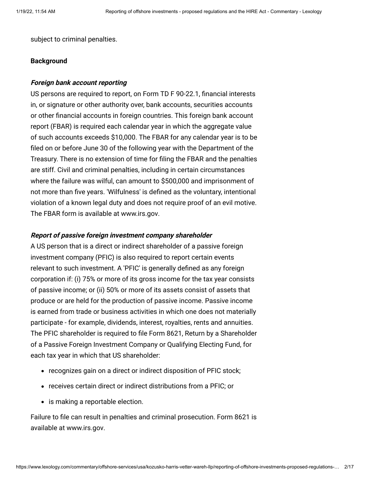subject to criminal penalties.

#### **Background**

## **Foreign bank account reporting**

US persons are required to report, on Form TD F 90-22.1, financial interests in, or signature or other authority over, bank accounts, securities accounts or other financial accounts in foreign countries. This foreign bank account report (FBAR) is required each calendar year in which the aggregate value of such accounts exceeds \$10,000. The FBAR for any calendar year is to be filed on or before June 30 of the following year with the Department of the Treasury. There is no extension of time for filing the FBAR and the penalties are stiff. Civil and criminal penalties, including in certain circumstances where the failure was wilful, can amount to \$500,000 and imprisonment of not more than five years. 'Wilfulness' is defined as the voluntary, intentional violation of a known legal duty and does not require proof of an evil motive. The FBAR form is available at [www.irs.gov](http://www.irs.gov/).

## **Report of passive foreign investment company shareholder**

A US person that is a direct or indirect shareholder of a passive foreign investment company (PFIC) is also required to report certain events relevant to such investment. A 'PFIC' is generally defined as any foreign corporation if: (i) 75% or more of its gross income for the tax year consists of passive income; or (ii) 50% or more of its assets consist of assets that produce or are held for the production of passive income. Passive income is earned from trade or business activities in which one does not materially participate - for example, dividends, interest, royalties, rents and annuities. The PFIC shareholder is required to file Form 8621, Return by a Shareholder of a Passive Foreign Investment Company or Qualifying Electing Fund, for each tax year in which that US shareholder:

- recognizes gain on a direct or indirect disposition of PFIC stock;
- receives certain direct or indirect distributions from a PFIC; or
- is making a reportable election.

Failure to file can result in penalties and criminal prosecution. Form 8621 is available at [www.irs.gov.](http://www.irs.gov/)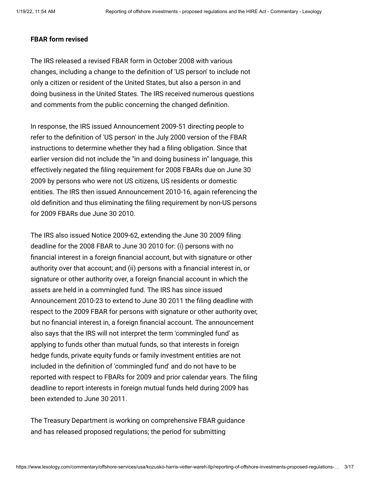## <span id="page-2-0"></span>**FBAR form revised**

The IRS released a revised FBAR form in October 2008 with various changes, including a change to the definition of 'US person' to include not only a citizen or resident of the United States, but also a person in and doing business in the United States. The IRS received numerous questions and comments from the public concerning the changed definition.

In response, the IRS issued Announcement 2009-51 directing people to refer to the definition of 'US person' in the July 2000 version of the FBAR instructions to determine whether they had a filing obligation. Since that earlier version did not include the "in and doing business in" language, this effectively negated the filing requirement for 2008 FBARs due on June 30 2009 by persons who were not US citizens, US residents or domestic entities. The IRS then issued Announcement 2010-16, again referencing the old definition and thus eliminating the filing requirement by non-US persons for 2009 FBARs due June 30 2010.

The IRS also issued Notice 2009-62, extending the June 30 2009 filing deadline for the 2008 FBAR to June 30 2010 for: (i) persons with no financial interest in a foreign financial account, but with signature or other authority over that account; and (ii) persons with a financial interest in, or signature or other authority over, a foreign financial account in which the assets are held in a commingled fund. The IRS has since issued Announcement 2010-23 to extend to June 30 2011 the filing deadline with respect to the 2009 FBAR for persons with signature or other authority over, but no financial interest in, a foreign financial account. The announcement also says that the IRS will not interpret the term 'commingled fund' as applying to funds other than mutual funds, so that interests in foreign hedge funds, private equity funds or family investment entities are not included in the definition of 'commingled fund' and do not have to be reported with respect to FBARs for 2009 and prior calendar years. The filing deadline to report interests in foreign mutual funds held during 2009 has been extended to June 30 2011.

The Treasury Department is working on comprehensive FBAR guidance and has released proposed regulations; the period for submitting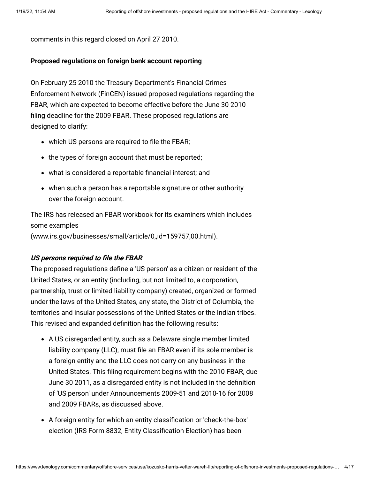comments in this regard closed on April 27 2010.

## **Proposed regulations on foreign bank account reporting**

On February 25 2010 the Treasury Department's Financial Crimes Enforcement Network (FinCEN) issued proposed regulations regarding the FBAR, which are expected to become effective before the June 30 2010 filing deadline for the 2009 FBAR. These proposed regulations are designed to clarify:

- which US persons are required to file the FBAR;
- the types of foreign account that must be reported;
- what is considered a reportable financial interest; and
- when such a person has a reportable signature or other authority over the foreign account.

The IRS has released an FBAR workbook for its examiners which includes some examples

[\(www.irs.gov/businesses/small/article/0,,id=159757,00.html](http://www.irs.gov/businesses/small/article/0,,id=159757,00.html)).

#### **US persons required to file the FBAR**

The proposed regulations define a 'US person' as a citizen or resident of the United States, or an entity (including, but not limited to, a corporation, partnership, trust or limited liability company) created, organized or formed under the laws of the United States, any state, the District of Columbia, the territories and insular possessions of the United States or the Indian tribes. This revised and expanded definition has the following results:

- A US disregarded entity, such as a Delaware single member limited liability company (LLC), must file an FBAR even if its sole member is a foreign entity and the LLC does not carry on any business in the United States. This filing requirement begins with the 2010 FBAR, due June 30 2011, as a disregarded entity is not included in the definition of 'US person' under Announcements 2009-51 and 2010-16 for 2008 and 2009 FBARs, as discussed above.
- A foreign entity for which an entity classification or 'check-the-box' election (IRS Form 8832, Entity Classification Election) has been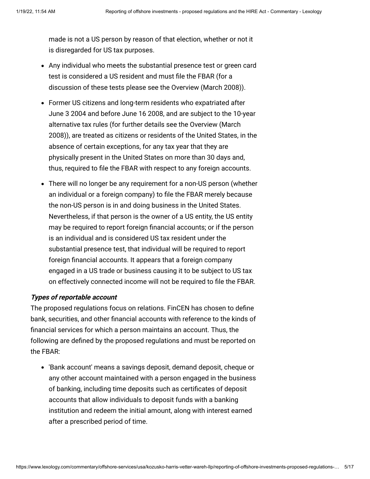made is not a US person by reason of that election, whether or not it is disregarded for US tax purposes.

- Any individual who meets the substantial presence test or green card test is considered a US resident and must file the FBAR (for a discussion of these tests please see the [Overview \(March 2008\)](http://www.internationallawoffice.com/Newsletters/Detail.aspx?r=15887)).
- Former US citizens and long-term residents who expatriated after June 3 2004 and before June 16 2008, and are subject to the 10-year alternative tax rules (for further details see the Overview (March [2008\)\), are treated as citizens or residents of the United States, i](http://www.internationallawoffice.com/Newsletters/Detail.aspx?r=15887)n the absence of certain exceptions, for any tax year that they are physically present in the United States on more than 30 days and, thus, required to file the FBAR with respect to any foreign accounts.
- There will no longer be any requirement for a non-US person (whether an individual or a foreign company) to file the FBAR merely because the non-US person is in and doing business in the United States. Nevertheless, if that person is the owner of a US entity, the US entity may be required to report foreign financial accounts; or if the person is an individual and is considered US tax resident under the substantial presence test, that individual will be required to report foreign financial accounts. It appears that a foreign company engaged in a US trade or business causing it to be subject to US tax on effectively connected income will not be required to file the FBAR.

# **Types of reportable account**

The proposed regulations focus on relations. FinCEN has chosen to define bank, securities, and other financial accounts with reference to the kinds of financial services for which a person maintains an account. Thus, the following are defined by the proposed regulations and must be reported on the FBAR:

'Bank account' means a savings deposit, demand deposit, cheque or any other account maintained with a person engaged in the business of banking, including time deposits such as certificates of deposit accounts that allow individuals to deposit funds with a banking institution and redeem the initial amount, along with interest earned after a prescribed period of time.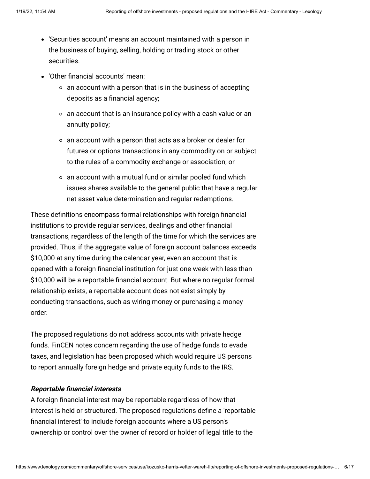- 'Securities account' means an account maintained with a person in the business of buying, selling, holding or trading stock or other securities.
- 'Other financial accounts' mean:
	- $\circ$  an account with a person that is in the business of accepting deposits as a financial agency;
	- an account that is an insurance policy with a cash value or an annuity policy;
	- an account with a person that acts as a broker or dealer for futures or options transactions in any commodity on or subject to the rules of a commodity exchange or association; or
	- an account with a mutual fund or similar pooled fund which issues shares available to the general public that have a regular net asset value determination and regular redemptions.

These definitions encompass formal relationships with foreign financial institutions to provide regular services, dealings and other financial transactions, regardless of the length of the time for which the services are provided. Thus, if the aggregate value of foreign account balances exceeds \$10,000 at any time during the calendar year, even an account that is opened with a foreign financial institution for just one week with less than \$10,000 will be a reportable financial account. But where no regular formal relationship exists, a reportable account does not exist simply by conducting transactions, such as wiring money or purchasing a money order.

The proposed regulations do not address accounts with private hedge funds. FinCEN notes concern regarding the use of hedge funds to evade taxes, and legislation has been proposed which would require US persons to report annually foreign hedge and private equity funds to the IRS.

#### **Reportable financial interests**

A foreign financial interest may be reportable regardless of how that interest is held or structured. The proposed regulations define a 'reportable financial interest' to include foreign accounts where a US person's ownership or control over the owner of record or holder of legal title to the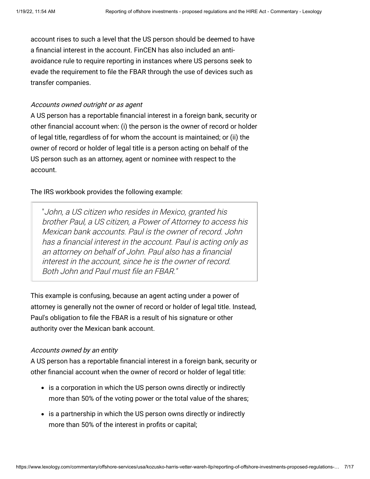account rises to such a level that the US person should be deemed to have a financial interest in the account. FinCEN has also included an antiavoidance rule to require reporting in instances where US persons seek to evade the requirement to file the FBAR through the use of devices such as transfer companies.

## Accounts owned outright or as agent

A US person has a reportable financial interest in a foreign bank, security or other financial account when: (i) the person is the owner of record or holder of legal title, regardless of for whom the account is maintained; or (ii) the owner of record or holder of legal title is a person acting on behalf of the US person such as an attorney, agent or nominee with respect to the account.

The IRS workbook provides the following example:

"John, a US citizen who resides in Mexico, granted his brother Paul, a US citizen, a Power of Attorney to access his Mexican bank accounts. Paul is the owner of record. John has a financial interest in the account. Paul is acting only as an attorney on behalf of John. Paul also has a financial interest in the account, since he is the owner of record. Both John and Paul must file an FBAR."

This example is confusing, because an agent acting under a power of attorney is generally not the owner of record or holder of legal title. Instead, Paul's obligation to file the FBAR is a result of his signature or other authority over the Mexican bank account.

## Accounts owned by an entity

A US person has a reportable financial interest in a foreign bank, security or other financial account when the owner of record or holder of legal title:

- is a corporation in which the US person owns directly or indirectly more than 50% of the voting power or the total value of the shares;
- is a partnership in which the US person owns directly or indirectly more than 50% of the interest in profits or capital;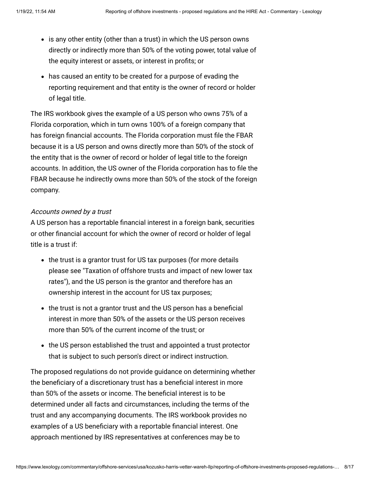- is any other entity (other than a trust) in which the US person owns directly or indirectly more than 50% of the voting power, total value of the equity interest or assets, or interest in profits; or
- has caused an entity to be created for a purpose of evading the reporting requirement and that entity is the owner of record or holder of legal title.

The IRS workbook gives the example of a US person who owns 75% of a Florida corporation, which in turn owns 100% of a foreign company that has foreign financial accounts. The Florida corporation must file the FBAR because it is a US person and owns directly more than 50% of the stock of the entity that is the owner of record or holder of legal title to the foreign accounts. In addition, the US owner of the Florida corporation has to file the FBAR because he indirectly owns more than 50% of the stock of the foreign company.

## Accounts owned by a trust

A US person has a reportable financial interest in a foreign bank, securities or other financial account for which the owner of record or holder of legal title is a trust if:

- the trust is a grantor trust for US tax purposes (for more details [please see "Taxation of offshore trusts and impact of new lower tax](http://www.internationallawoffice.com/Newsletters/Detail.aspx?r=7017) rates"), and the US person is the grantor and therefore has an ownership interest in the account for US tax purposes;
- the trust is not a grantor trust and the US person has a beneficial interest in more than 50% of the assets or the US person receives more than 50% of the current income of the trust; or
- the US person established the trust and appointed a trust protector that is subject to such person's direct or indirect instruction.

The proposed regulations do not provide guidance on determining whether the beneficiary of a discretionary trust has a beneficial interest in more than 50% of the assets or income. The beneficial interest is to be determined under all facts and circumstances, including the terms of the trust and any accompanying documents. The IRS workbook provides no examples of a US beneficiary with a reportable financial interest. One approach mentioned by IRS representatives at conferences may be to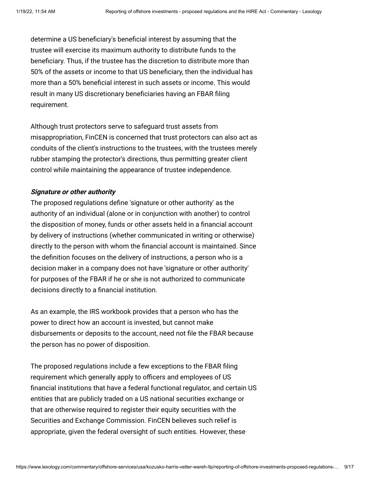determine a US beneficiary's beneficial interest by assuming that the trustee will exercise its maximum authority to distribute funds to the beneficiary. Thus, if the trustee has the discretion to distribute more than 50% of the assets or income to that US beneficiary, then the individual has more than a 50% beneficial interest in such assets or income. This would result in many US discretionary beneficiaries having an FBAR filing requirement.

Although trust protectors serve to safeguard trust assets from misappropriation, FinCEN is concerned that trust protectors can also act as conduits of the client's instructions to the trustees, with the trustees merely rubber stamping the protector's directions, thus permitting greater client control while maintaining the appearance of trustee independence.

## **Signature or other authority**

The proposed regulations define 'signature or other authority' as the authority of an individual (alone or in conjunction with another) to control the disposition of money, funds or other assets held in a financial account by delivery of instructions (whether communicated in writing or otherwise) directly to the person with whom the financial account is maintained. Since the definition focuses on the delivery of instructions, a person who is a decision maker in a company does not have 'signature or other authority' for purposes of the FBAR if he or she is not authorized to communicate decisions directly to a financial institution.

As an example, the IRS workbook provides that a person who has the power to direct how an account is invested, but cannot make disbursements or deposits to the account, need not file the FBAR because the person has no power of disposition.

The proposed regulations include a few exceptions to the FBAR filing requirement which generally apply to officers and employees of US financial institutions that have a federal functional regulator, and certain US entities that are publicly traded on a US national securities exchange or that are otherwise required to register their equity securities with the Securities and Exchange Commission. FinCEN believes such relief is appropriate, given the federal oversight of such entities. However, these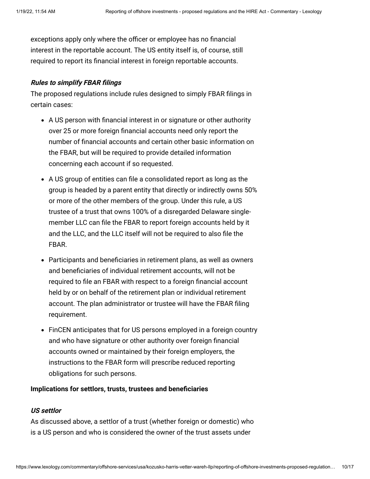exceptions apply only where the officer or employee has no financial interest in the reportable account. The US entity itself is, of course, still required to report its financial interest in foreign reportable accounts.

## **Rules to simplify FBAR filings**

The proposed regulations include rules designed to simply FBAR filings in certain cases:

- A US person with financial interest in or signature or other authority over 25 or more foreign financial accounts need only report the number of financial accounts and certain other basic information on the FBAR, but will be required to provide detailed information concerning each account if so requested.
- A US group of entities can file a consolidated report as long as the group is headed by a parent entity that directly or indirectly owns 50% or more of the other members of the group. Under this rule, a US trustee of a trust that owns 100% of a disregarded Delaware singlemember LLC can file the FBAR to report foreign accounts held by it and the LLC, and the LLC itself will not be required to also file the FBAR.
- Participants and beneficiaries in retirement plans, as well as owners and beneficiaries of individual retirement accounts, will not be required to file an FBAR with respect to a foreign financial account held by or on behalf of the retirement plan or individual retirement account. The plan administrator or trustee will have the FBAR filing requirement.
- FinCEN anticipates that for US persons employed in a foreign country and who have signature or other authority over foreign financial accounts owned or maintained by their foreign employers, the instructions to the FBAR form will prescribe reduced reporting obligations for such persons.

#### <span id="page-9-0"></span>**Implications for settlors, trusts, trustees and beneficiaries**

#### **US settlor**

As discussed above, a settlor of a trust (whether foreign or domestic) who is a US person and who is considered the owner of the trust assets under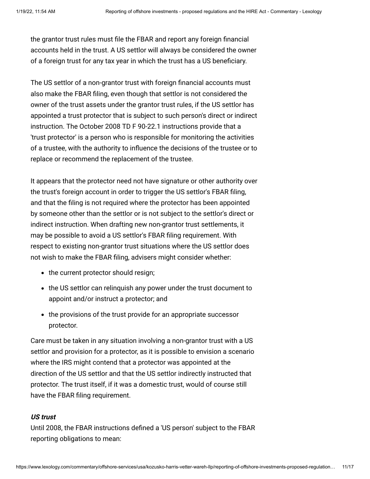the grantor trust rules must file the FBAR and report any foreign financial accounts held in the trust. A US settlor will always be considered the owner of a foreign trust for any tax year in which the trust has a US beneficiary.

The US settlor of a non-grantor trust with foreign financial accounts must also make the FBAR filing, even though that settlor is not considered the owner of the trust assets under the grantor trust rules, if the US settlor has appointed a trust protector that is subject to such person's direct or indirect instruction. The October 2008 TD F 90-22.1 instructions provide that a 'trust protector' is a person who is responsible for monitoring the activities of a trustee, with the authority to influence the decisions of the trustee or to replace or recommend the replacement of the trustee.

It appears that the protector need not have signature or other authority over the trust's foreign account in order to trigger the US settlor's FBAR filing, and that the filing is not required where the protector has been appointed by someone other than the settlor or is not subject to the settlor's direct or indirect instruction. When drafting new non-grantor trust settlements, it may be possible to avoid a US settlor's FBAR filing requirement. With respect to existing non-grantor trust situations where the US settlor does not wish to make the FBAR filing, advisers might consider whether:

- the current protector should resign;
- the US settlor can relinguish any power under the trust document to appoint and/or instruct a protector; and
- the provisions of the trust provide for an appropriate successor protector.

Care must be taken in any situation involving a non-grantor trust with a US settlor and provision for a protector, as it is possible to envision a scenario where the IRS might contend that a protector was appointed at the direction of the US settlor and that the US settlor indirectly instructed that protector. The trust itself, if it was a domestic trust, would of course still have the FBAR filing requirement.

# **US trust**

Until 2008, the FBAR instructions defined a 'US person' subject to the FBAR reporting obligations to mean: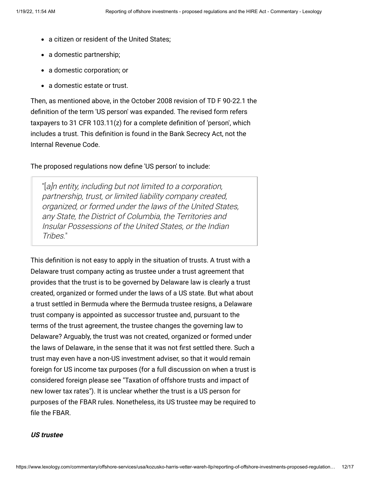- a citizen or resident of the United States:
- a domestic partnership;
- a domestic corporation; or
- a domestic estate or trust.

Then, as mentioned above, in the October 2008 revision of TD F 90-22.1 the definition of the term 'US person' was expanded. The revised form refers taxpayers to 31 CFR 103.11(z) for a complete definition of 'person', which includes a trust. This definition is found in the Bank Secrecy Act, not the Internal Revenue Code.

The proposed regulations now define 'US person' to include:

"[a]n entity, including but not limited to a corporation, partnership, trust, or limited liability company created, organized, or formed under the laws of the United States, any State, the District of Columbia, the Territories and Insular Possessions of the United States, or the Indian Tribes."

This definition is not easy to apply in the situation of trusts. A trust with a Delaware trust company acting as trustee under a trust agreement that provides that the trust is to be governed by Delaware law is clearly a trust created, organized or formed under the laws of a US state. But what about a trust settled in Bermuda where the Bermuda trustee resigns, a Delaware trust company is appointed as successor trustee and, pursuant to the terms of the trust agreement, the trustee changes the governing law to Delaware? Arguably, the trust was not created, organized or formed under the laws of Delaware, in the sense that it was not first settled there. Such a trust may even have a non-US investment adviser, so that it would remain foreign for US income tax purposes (for a full discussion on when a trust is [considered foreign please see "Taxation of offshore trusts and impact of](http://www.internationallawoffice.com/Newsletters/Detail.aspx?r=7017) new lower tax rates"). It is unclear whether the trust is a US person for purposes of the FBAR rules. Nonetheless, its US trustee may be required to file the FBAR.

#### **US trustee**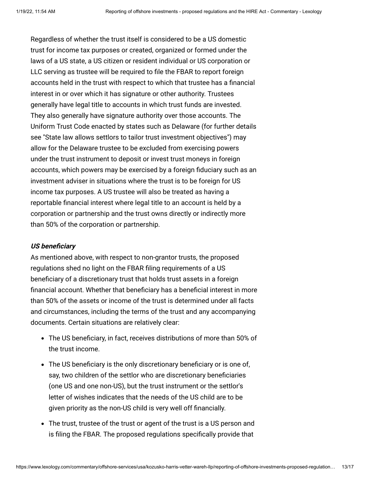Regardless of whether the trust itself is considered to be a US domestic trust for income tax purposes or created, organized or formed under the laws of a US state, a US citizen or resident individual or US corporation or LLC serving as trustee will be required to file the FBAR to report foreign accounts held in the trust with respect to which that trustee has a financial interest in or over which it has signature or other authority. Trustees generally have legal title to accounts in which trust funds are invested. They also generally have signature authority over those accounts. The Uniform Trust Code enacted by states such as Delaware (for further details see ["State law allows settlors to tailor trust investment objectives](http://www.internationallawoffice.com/Newsletters/Detail.aspx?r=11549)") may allow for the Delaware trustee to be excluded from exercising powers under the trust instrument to deposit or invest trust moneys in foreign accounts, which powers may be exercised by a foreign fiduciary such as an investment adviser in situations where the trust is to be foreign for US income tax purposes. A US trustee will also be treated as having a reportable financial interest where legal title to an account is held by a corporation or partnership and the trust owns directly or indirectly more than 50% of the corporation or partnership.

#### **US beneficiary**

As mentioned above, with respect to non-grantor trusts, the proposed regulations shed no light on the FBAR filing requirements of a US beneficiary of a discretionary trust that holds trust assets in a foreign financial account. Whether that beneficiary has a beneficial interest in more than 50% of the assets or income of the trust is determined under all facts and circumstances, including the terms of the trust and any accompanying documents. Certain situations are relatively clear:

- The US beneficiary, in fact, receives distributions of more than 50% of the trust income.
- The US beneficiary is the only discretionary beneficiary or is one of, say, two children of the settlor who are discretionary beneficiaries (one US and one non-US), but the trust instrument or the settlor's letter of wishes indicates that the needs of the US child are to be given priority as the non-US child is very well off financially.
- The trust, trustee of the trust or agent of the trust is a US person and is filing the FBAR. The proposed regulations specifically provide that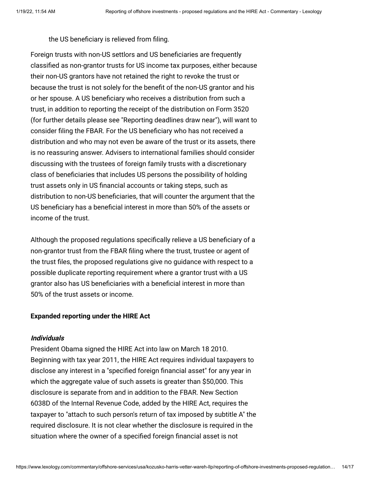the US beneficiary is relieved from filing.

<span id="page-13-0"></span>Foreign trusts with non-US settlors and US beneficiaries are frequently classified as non-grantor trusts for US income tax purposes, either because their non-US grantors have not retained the right to revoke the trust or because the trust is not solely for the benefit of the non-US grantor and his or her spouse. A US beneficiary who receives a distribution from such a trust, in addition to reporting the receipt of the distribution on Form 3520 (for further details please see "[Reporting deadlines draw near"](http://www.internationallawoffice.com/Newsletters/Detail.aspx?r=6558)), will want to consider filing the FBAR. For the US beneficiary who has not received a distribution and who may not even be aware of the trust or its assets, there is no reassuring answer. Advisers to international families should consider discussing with the trustees of foreign family trusts with a discretionary class of beneficiaries that includes US persons the possibility of holding trust assets only in US financial accounts or taking steps, such as distribution to non-US beneficiaries, that will counter the argument that the US beneficiary has a beneficial interest in more than 50% of the assets or income of the trust.

Although the proposed regulations specifically relieve a US beneficiary of a non-grantor trust from the FBAR filing where the trust, trustee or agent of the trust files, the proposed regulations give no guidance with respect to a possible duplicate reporting requirement where a grantor trust with a US grantor also has US beneficiaries with a beneficial interest in more than 50% of the trust assets or income.

## **Expanded reporting under the HIRE Act**

## **Individuals**

President Obama signed the HIRE Act into law on March 18 2010. Beginning with tax year 2011, the HIRE Act requires individual taxpayers to disclose any interest in a "specified foreign financial asset" for any year in which the aggregate value of such assets is greater than \$50,000. This disclosure is separate from and in addition to the FBAR. New Section 6038D of the Internal Revenue Code, added by the HIRE Act, requires the taxpayer to "attach to such person's return of tax imposed by subtitle A" the required disclosure. It is not clear whether the disclosure is required in the situation where the owner of a specified foreign financial asset is not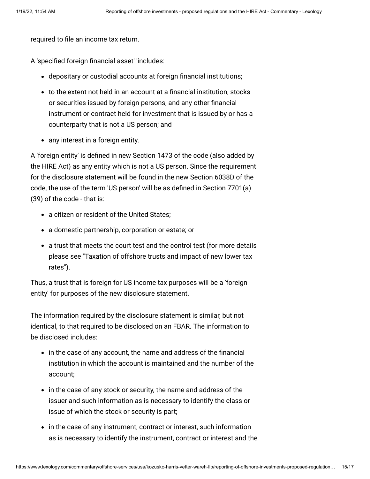required to file an income tax return.

A 'specified foreign financial asset' 'includes:

- depositary or custodial accounts at foreign financial institutions;
- to the extent not held in an account at a financial institution, stocks or securities issued by foreign persons, and any other financial instrument or contract held for investment that is issued by or has a counterparty that is not a US person; and
- any interest in a foreign entity.

A 'foreign entity' is defined in new Section 1473 of the code (also added by the HIRE Act) as any entity which is not a US person. Since the requirement for the disclosure statement will be found in the new Section 6038D of the code, the use of the term 'US person' will be as defined in Section 7701(a) (39) of the code - that is:

- a citizen or resident of the United States;
- a domestic partnership, corporation or estate; or
- a trust that meets the court test and the control test (for more details [please see "Taxation of offshore trusts and impact of new lower tax](http://www.internationallawoffice.com/Newsletters/Detail.aspx?r=7017) rates").

Thus, a trust that is foreign for US income tax purposes will be a 'foreign entity' for purposes of the new disclosure statement.

The information required by the disclosure statement is similar, but not identical, to that required to be disclosed on an FBAR. The information to be disclosed includes:

- in the case of any account, the name and address of the financial institution in which the account is maintained and the number of the account;
- in the case of any stock or security, the name and address of the issuer and such information as is necessary to identify the class or issue of which the stock or security is part;
- in the case of any instrument, contract or interest, such information as is necessary to identify the instrument, contract or interest and the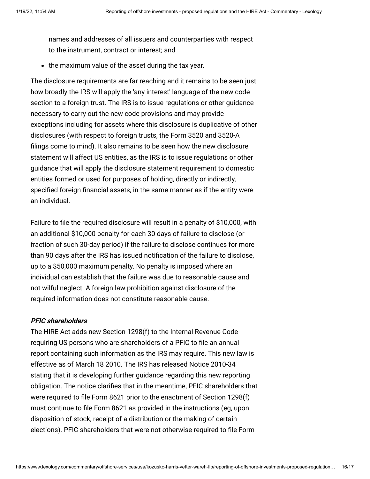names and addresses of all issuers and counterparties with respect to the instrument, contract or interest; and

• the maximum value of the asset during the tax year.

<span id="page-15-0"></span>The disclosure requirements are far reaching and it remains to be seen just how broadly the IRS will apply the 'any interest' language of the new code section to a foreign trust. The IRS is to issue regulations or other guidance necessary to carry out the new code provisions and may provide exceptions including for assets where this disclosure is duplicative of other disclosures (with respect to foreign trusts, the Form 3520 and 3520-A filings come to mind). It also remains to be seen how the new disclosure statement will affect US entities, as the IRS is to issue regulations or other guidance that will apply the disclosure statement requirement to domestic entities formed or used for purposes of holding, directly or indirectly, specified foreign financial assets, in the same manner as if the entity were an individual.

Failure to file the required disclosure will result in a penalty of \$10,000, with an additional \$10,000 penalty for each 30 days of failure to disclose (or fraction of such 30-day period) if the failure to disclose continues for more than 90 days after the IRS has issued notification of the failure to disclose, up to a \$50,000 maximum penalty. No penalty is imposed where an individual can establish that the failure was due to reasonable cause and not wilful neglect. A foreign law prohibition against disclosure of the required information does not constitute reasonable cause.

#### **PFIC shareholders**

The HIRE Act adds new Section 1298(f) to the Internal Revenue Code requiring US persons who are shareholders of a PFIC to file an annual report containing such information as the IRS may require. This new law is effective as of March 18 2010. The IRS has released Notice 2010-34 stating that it is developing further guidance regarding this new reporting obligation. The notice clarifies that in the meantime, PFIC shareholders that were required to file Form 8621 prior to the enactment of Section 1298(f) must continue to file Form 8621 as provided in the instructions (eg, upon disposition of stock, receipt of a distribution or the making of certain elections). PFIC shareholders that were not otherwise required to file Form